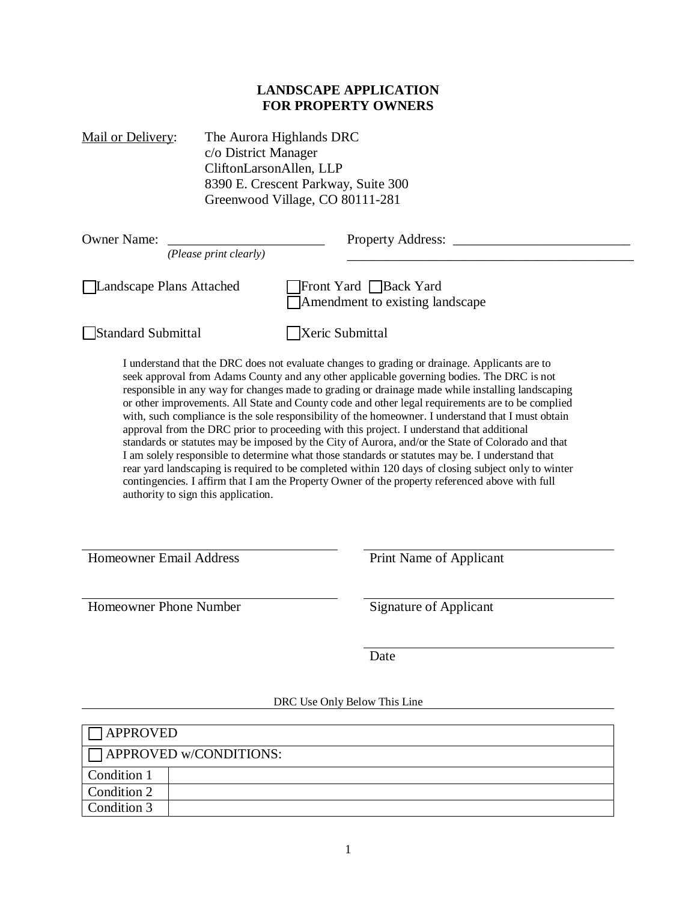## **LANDSCAPE APPLICATION FOR PROPERTY OWNERS**

Mail or Delivery: The Aurora Highlands DRC c/o District Manager CliftonLarsonAllen, LLP 8390 E. Crescent Parkway, Suite 300 Greenwood Village, CO 80111-281

| <b>Owner Name:</b><br>(Please print clearly) | <b>Property Address:</b>                                                                                                                                                                                                                                                                                                                                                                                                                                                                                                                                                                                                                                                                                                                                                                                                                                                                                                                                                                                                |
|----------------------------------------------|-------------------------------------------------------------------------------------------------------------------------------------------------------------------------------------------------------------------------------------------------------------------------------------------------------------------------------------------------------------------------------------------------------------------------------------------------------------------------------------------------------------------------------------------------------------------------------------------------------------------------------------------------------------------------------------------------------------------------------------------------------------------------------------------------------------------------------------------------------------------------------------------------------------------------------------------------------------------------------------------------------------------------|
| Landscape Plans Attached                     | Front Yard Back Yard<br>Amendment to existing landscape                                                                                                                                                                                                                                                                                                                                                                                                                                                                                                                                                                                                                                                                                                                                                                                                                                                                                                                                                                 |
| Standard Submittal                           | Xeric Submittal                                                                                                                                                                                                                                                                                                                                                                                                                                                                                                                                                                                                                                                                                                                                                                                                                                                                                                                                                                                                         |
| authority to sign this application.          | I understand that the DRC does not evaluate changes to grading or drainage. Applicants are to<br>seek approval from Adams County and any other applicable governing bodies. The DRC is not<br>responsible in any way for changes made to grading or drainage made while installing landscaping<br>or other improvements. All State and County code and other legal requirements are to be complied<br>with, such compliance is the sole responsibility of the homeowner. I understand that I must obtain<br>approval from the DRC prior to proceeding with this project. I understand that additional<br>standards or statutes may be imposed by the City of Aurora, and/or the State of Colorado and that<br>I am solely responsible to determine what those standards or statutes may be. I understand that<br>rear yard landscaping is required to be completed within 120 days of closing subject only to winter<br>contingencies. I affirm that I am the Property Owner of the property referenced above with full |
| <b>Homeowner Email Address</b>               | Print Name of Applicant                                                                                                                                                                                                                                                                                                                                                                                                                                                                                                                                                                                                                                                                                                                                                                                                                                                                                                                                                                                                 |
| Homeowner Phone Number                       | <b>Signature of Applicant</b>                                                                                                                                                                                                                                                                                                                                                                                                                                                                                                                                                                                                                                                                                                                                                                                                                                                                                                                                                                                           |
|                                              | Date                                                                                                                                                                                                                                                                                                                                                                                                                                                                                                                                                                                                                                                                                                                                                                                                                                                                                                                                                                                                                    |

## DRC Use Only Below This Line

| <b>APPROVED</b> |                               |
|-----------------|-------------------------------|
|                 | $\Box$ APPROVED w/CONDITIONS: |
| Condition 1     |                               |
| Condition 2     |                               |
| Condition 3     |                               |